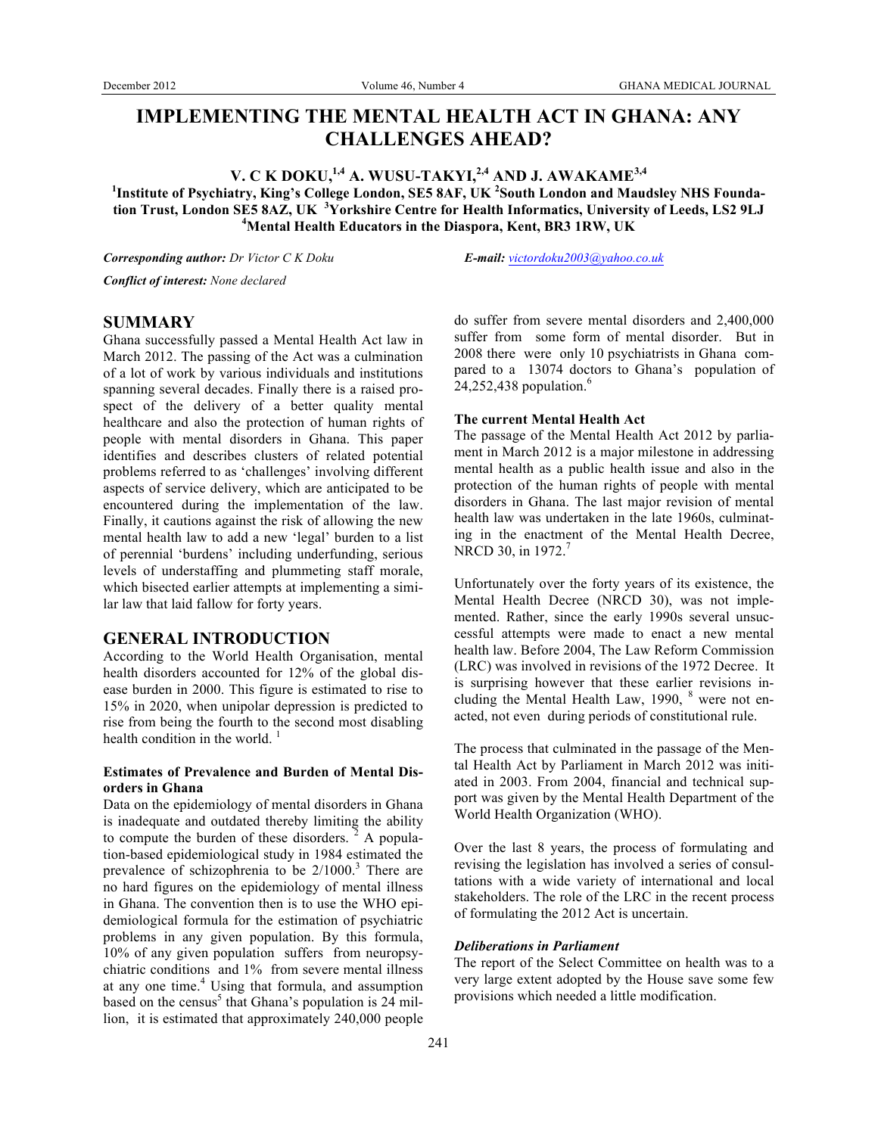# **IMPLEMENTING THE MENTAL HEALTH ACT IN GHANA: ANY CHALLENGES AHEAD?**

**V. C K DOKU,1,4 A. WUSU-TAKYI,2,4 AND J. AWAKAME3,4 1 Institute of Psychiatry, King's College London, SE5 8AF, UK <sup>2</sup> South London and Maudsley NHS Foundation Trust, London SE5 8AZ, UK <sup>3</sup> Yorkshire Centre for Health Informatics, University of Leeds, LS2 9LJ <sup>4</sup> Mental Health Educators in the Diaspora, Kent, BR3 1RW, UK**

*Corresponding author: Dr Victor C K Doku E-mail: victordoku2003@yahoo.co.uk*

*Conflict of interest: None declared*

# **SUMMARY**

Ghana successfully passed a Mental Health Act law in March 2012. The passing of the Act was a culmination of a lot of work by various individuals and institutions spanning several decades. Finally there is a raised prospect of the delivery of a better quality mental healthcare and also the protection of human rights of people with mental disorders in Ghana. This paper identifies and describes clusters of related potential problems referred to as 'challenges' involving different aspects of service delivery, which are anticipated to be encountered during the implementation of the law. Finally, it cautions against the risk of allowing the new mental health law to add a new 'legal' burden to a list of perennial 'burdens' including underfunding, serious levels of understaffing and plummeting staff morale, which bisected earlier attempts at implementing a similar law that laid fallow for forty years.

# **GENERAL INTRODUCTION**

According to the World Health Organisation, mental health disorders accounted for 12% of the global disease burden in 2000. This figure is estimated to rise to 15% in 2020, when unipolar depression is predicted to rise from being the fourth to the second most disabling health condition in the world.<sup>1</sup>

# **Estimates of Prevalence and Burden of Mental Disorders in Ghana**

Data on the epidemiology of mental disorders in Ghana is inadequate and outdated thereby limiting the ability to compute the burden of these disorders.  $2$  A population-based epidemiological study in 1984 estimated the prevalence of schizophrenia to be  $2/1000$ .<sup>3</sup> There are no hard figures on the epidemiology of mental illness in Ghana. The convention then is to use the WHO epidemiological formula for the estimation of psychiatric problems in any given population. By this formula, 10% of any given population suffers from neuropsychiatric conditions and 1% from severe mental illness at any one time.<sup>4</sup> Using that formula, and assumption based on the census<sup>5</sup> that Ghana's population is  $24$  million, it is estimated that approximately 240,000 people

do suffer from severe mental disorders and 2,400,000 suffer from some form of mental disorder. But in 2008 there were only 10 psychiatrists in Ghana compared to a 13074 doctors to Ghana's population of  $24,252,438$  population.<sup>6</sup>

### **The current Mental Health Act**

The passage of the Mental Health Act 2012 by parliament in March 2012 is a major milestone in addressing mental health as a public health issue and also in the protection of the human rights of people with mental disorders in Ghana. The last major revision of mental health law was undertaken in the late 1960s, culminating in the enactment of the Mental Health Decree, NRCD 30, in 1972.<sup>7</sup>

Unfortunately over the forty years of its existence, the Mental Health Decree (NRCD 30), was not implemented. Rather, since the early 1990s several unsuccessful attempts were made to enact a new mental health law. Before 2004, The Law Reform Commission (LRC) was involved in revisions of the 1972 Decree. It is surprising however that these earlier revisions including the Mental Health Law, 1990, <sup>8</sup> were not enacted, not even during periods of constitutional rule.

The process that culminated in the passage of the Mental Health Act by Parliament in March 2012 was initiated in 2003. From 2004, financial and technical support was given by the Mental Health Department of the World Health Organization (WHO).

Over the last 8 years, the process of formulating and revising the legislation has involved a series of consultations with a wide variety of international and local stakeholders. The role of the LRC in the recent process of formulating the 2012 Act is uncertain.

# *Deliberations in Parliament*

The report of the Select Committee on health was to a very large extent adopted by the House save some few provisions which needed a little modification.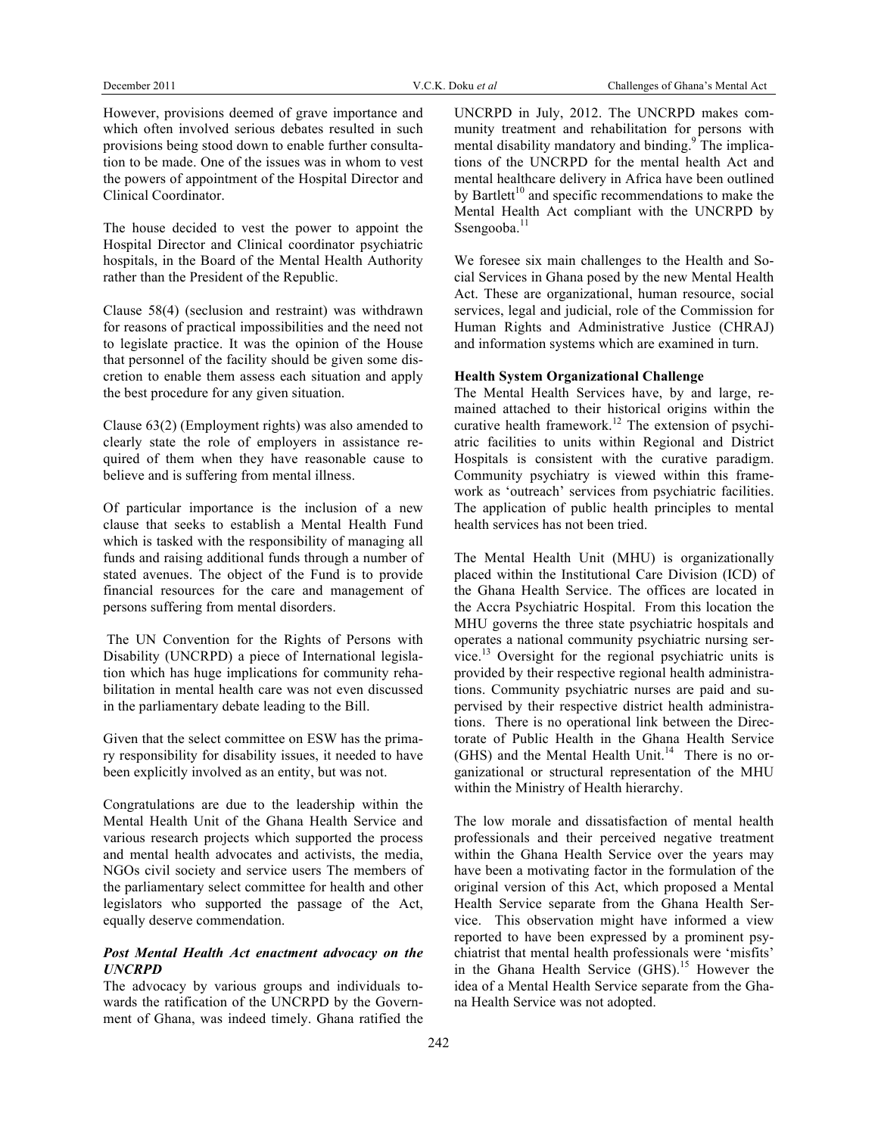However, provisions deemed of grave importance and which often involved serious debates resulted in such provisions being stood down to enable further consultation to be made. One of the issues was in whom to vest the powers of appointment of the Hospital Director and Clinical Coordinator.

The house decided to vest the power to appoint the Hospital Director and Clinical coordinator psychiatric hospitals, in the Board of the Mental Health Authority rather than the President of the Republic.

Clause 58(4) (seclusion and restraint) was withdrawn for reasons of practical impossibilities and the need not to legislate practice. It was the opinion of the House that personnel of the facility should be given some discretion to enable them assess each situation and apply the best procedure for any given situation.

Clause 63(2) (Employment rights) was also amended to clearly state the role of employers in assistance required of them when they have reasonable cause to believe and is suffering from mental illness.

Of particular importance is the inclusion of a new clause that seeks to establish a Mental Health Fund which is tasked with the responsibility of managing all funds and raising additional funds through a number of stated avenues. The object of the Fund is to provide financial resources for the care and management of persons suffering from mental disorders.

The UN Convention for the Rights of Persons with Disability (UNCRPD) a piece of International legislation which has huge implications for community rehabilitation in mental health care was not even discussed in the parliamentary debate leading to the Bill.

Given that the select committee on ESW has the primary responsibility for disability issues, it needed to have been explicitly involved as an entity, but was not.

Congratulations are due to the leadership within the Mental Health Unit of the Ghana Health Service and various research projects which supported the process and mental health advocates and activists, the media, NGOs civil society and service users The members of the parliamentary select committee for health and other legislators who supported the passage of the Act, equally deserve commendation.

# *Post Mental Health Act enactment advocacy on the UNCRPD*

The advocacy by various groups and individuals towards the ratification of the UNCRPD by the Government of Ghana, was indeed timely. Ghana ratified the UNCRPD in July, 2012. The UNCRPD makes community treatment and rehabilitation for persons with mental disability mandatory and binding.<sup>9</sup> The implications of the UNCRPD for the mental health Act and mental healthcare delivery in Africa have been outlined by Bartlett<sup>10</sup> and specific recommendations to make the Mental Health Act compliant with the UNCRPD by Ssengooba.<sup>11</sup>

We foresee six main challenges to the Health and Social Services in Ghana posed by the new Mental Health Act. These are organizational, human resource, social services, legal and judicial, role of the Commission for Human Rights and Administrative Justice (CHRAJ) and information systems which are examined in turn.

# **Health System Organizational Challenge**

The Mental Health Services have, by and large, remained attached to their historical origins within the curative health framework.<sup>12</sup> The extension of psychiatric facilities to units within Regional and District Hospitals is consistent with the curative paradigm. Community psychiatry is viewed within this framework as 'outreach' services from psychiatric facilities. The application of public health principles to mental health services has not been tried.

The Mental Health Unit (MHU) is organizationally placed within the Institutional Care Division (ICD) of the Ghana Health Service. The offices are located in the Accra Psychiatric Hospital. From this location the MHU governs the three state psychiatric hospitals and operates a national community psychiatric nursing service.<sup>13</sup> Oversight for the regional psychiatric units is provided by their respective regional health administrations. Community psychiatric nurses are paid and supervised by their respective district health administrations. There is no operational link between the Directorate of Public Health in the Ghana Health Service (GHS) and the Mental Health Unit.<sup>14</sup> There is no organizational or structural representation of the MHU within the Ministry of Health hierarchy.

The low morale and dissatisfaction of mental health professionals and their perceived negative treatment within the Ghana Health Service over the years may have been a motivating factor in the formulation of the original version of this Act, which proposed a Mental Health Service separate from the Ghana Health Service. This observation might have informed a view reported to have been expressed by a prominent psychiatrist that mental health professionals were 'misfits' in the Ghana Health Service (GHS).<sup>15</sup> However the idea of a Mental Health Service separate from the Ghana Health Service was not adopted.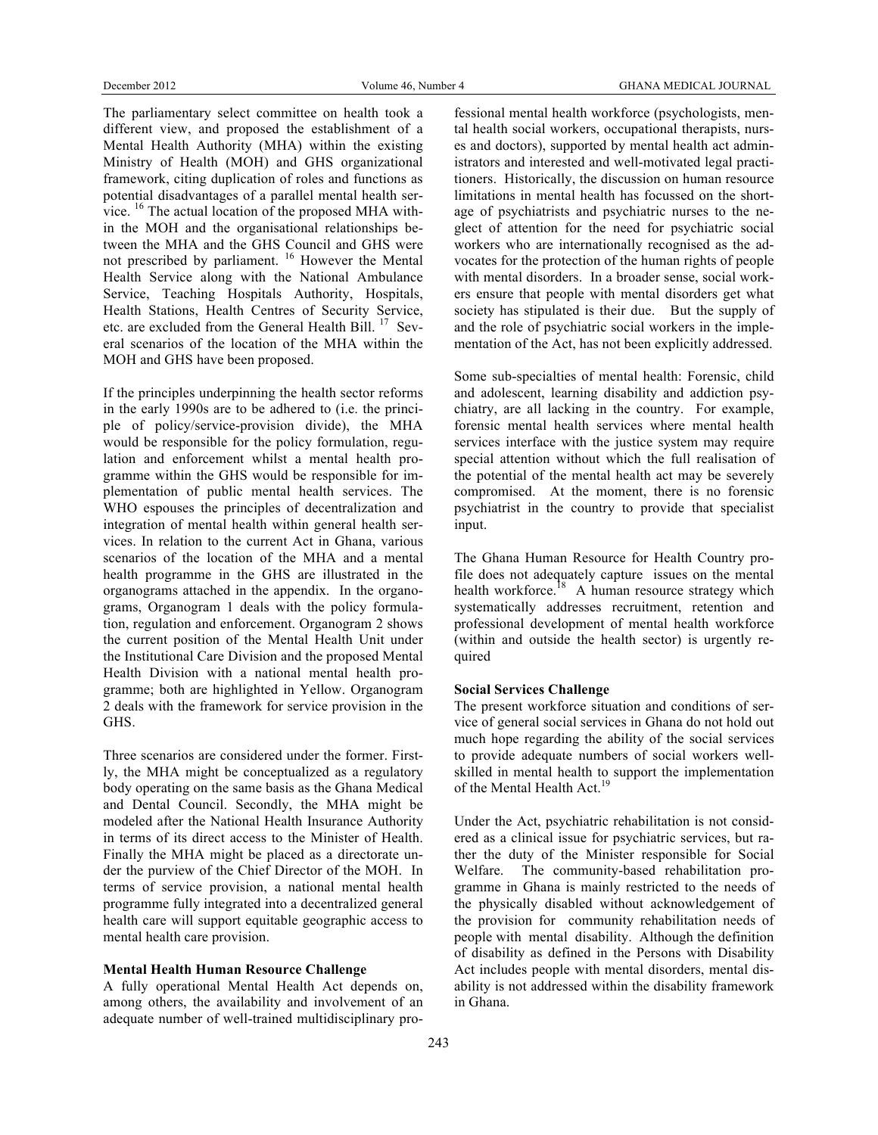The parliamentary select committee on health took a different view, and proposed the establishment of a Mental Health Authority (MHA) within the existing Ministry of Health (MOH) and GHS organizational framework, citing duplication of roles and functions as potential disadvantages of a parallel mental health service. <sup>16</sup> The actual location of the proposed MHA within the MOH and the organisational relationships between the MHA and the GHS Council and GHS were not prescribed by parliament. <sup>16</sup> However the Mental Health Service along with the National Ambulance Service, Teaching Hospitals Authority, Hospitals, Health Stations, Health Centres of Security Service, etc. are excluded from the General Health Bill. 17 Several scenarios of the location of the MHA within the MOH and GHS have been proposed.

If the principles underpinning the health sector reforms in the early 1990s are to be adhered to (i.e. the principle of policy/service-provision divide), the MHA would be responsible for the policy formulation, regulation and enforcement whilst a mental health programme within the GHS would be responsible for implementation of public mental health services. The WHO espouses the principles of decentralization and integration of mental health within general health services. In relation to the current Act in Ghana, various scenarios of the location of the MHA and a mental health programme in the GHS are illustrated in the organograms attached in the appendix. In the organograms, Organogram 1 deals with the policy formulation, regulation and enforcement. Organogram 2 shows the current position of the Mental Health Unit under the Institutional Care Division and the proposed Mental Health Division with a national mental health programme; both are highlighted in Yellow. Organogram 2 deals with the framework for service provision in the GHS.

Three scenarios are considered under the former. Firstly, the MHA might be conceptualized as a regulatory body operating on the same basis as the Ghana Medical and Dental Council. Secondly, the MHA might be modeled after the National Health Insurance Authority in terms of its direct access to the Minister of Health. Finally the MHA might be placed as a directorate under the purview of the Chief Director of the MOH. In terms of service provision, a national mental health programme fully integrated into a decentralized general health care will support equitable geographic access to mental health care provision.

# **Mental Health Human Resource Challenge**

A fully operational Mental Health Act depends on, among others, the availability and involvement of an adequate number of well-trained multidisciplinary pro-

fessional mental health workforce (psychologists, mental health social workers, occupational therapists, nurses and doctors), supported by mental health act administrators and interested and well-motivated legal practitioners. Historically, the discussion on human resource limitations in mental health has focussed on the shortage of psychiatrists and psychiatric nurses to the neglect of attention for the need for psychiatric social workers who are internationally recognised as the advocates for the protection of the human rights of people with mental disorders. In a broader sense, social workers ensure that people with mental disorders get what society has stipulated is their due. But the supply of and the role of psychiatric social workers in the implementation of the Act, has not been explicitly addressed.

Some sub-specialties of mental health: Forensic, child and adolescent, learning disability and addiction psychiatry, are all lacking in the country. For example, forensic mental health services where mental health services interface with the justice system may require special attention without which the full realisation of the potential of the mental health act may be severely compromised. At the moment, there is no forensic psychiatrist in the country to provide that specialist input.

The Ghana Human Resource for Health Country profile does not adequately capture issues on the mental health workforce.<sup>18</sup> A human resource strategy which systematically addresses recruitment, retention and professional development of mental health workforce (within and outside the health sector) is urgently required

#### **Social Services Challenge**

The present workforce situation and conditions of service of general social services in Ghana do not hold out much hope regarding the ability of the social services to provide adequate numbers of social workers wellskilled in mental health to support the implementation of the Mental Health Act.<sup>19</sup>

Under the Act, psychiatric rehabilitation is not considered as a clinical issue for psychiatric services, but rather the duty of the Minister responsible for Social Welfare. The community-based rehabilitation programme in Ghana is mainly restricted to the needs of the physically disabled without acknowledgement of the provision for community rehabilitation needs of people with mental disability. Although the definition of disability as defined in the Persons with Disability Act includes people with mental disorders, mental disability is not addressed within the disability framework in Ghana.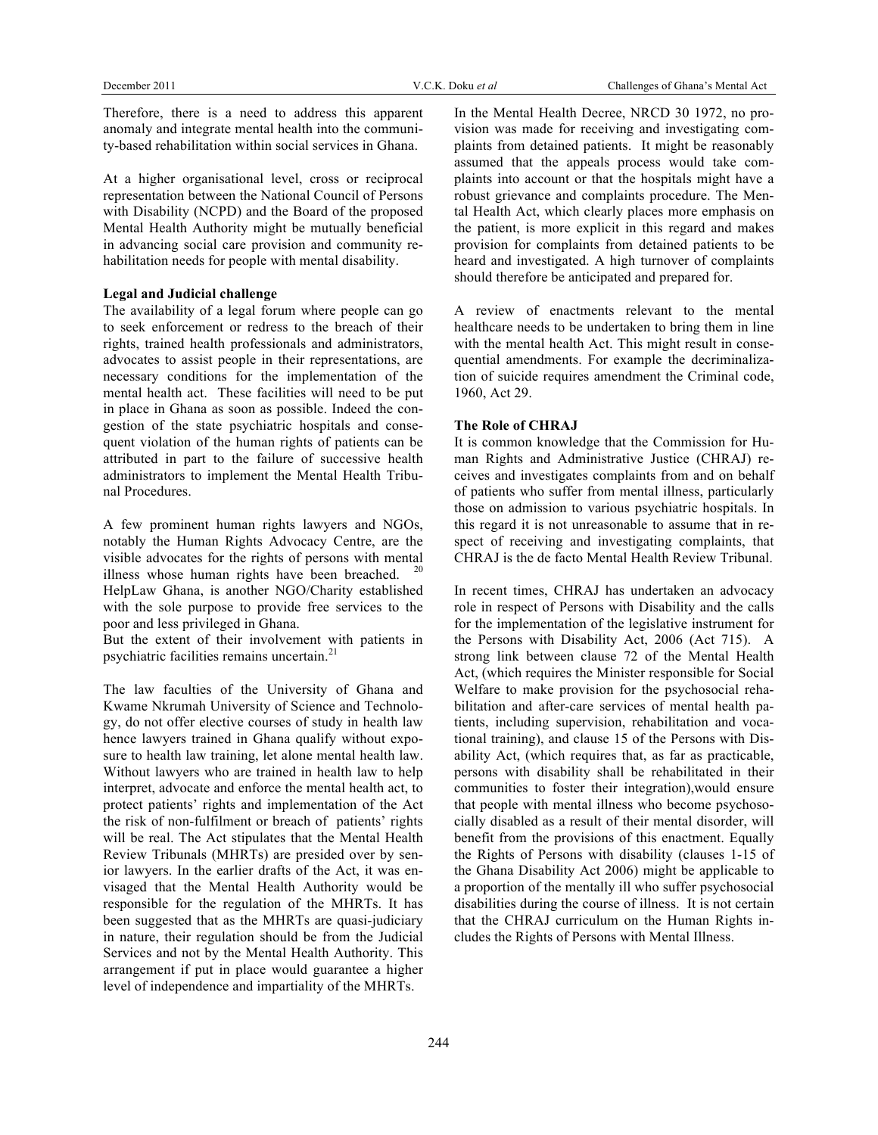Therefore, there is a need to address this apparent anomaly and integrate mental health into the community-based rehabilitation within social services in Ghana.

At a higher organisational level, cross or reciprocal representation between the National Council of Persons with Disability (NCPD) and the Board of the proposed Mental Health Authority might be mutually beneficial in advancing social care provision and community rehabilitation needs for people with mental disability.

### **Legal and Judicial challenge**

The availability of a legal forum where people can go to seek enforcement or redress to the breach of their rights, trained health professionals and administrators, advocates to assist people in their representations, are necessary conditions for the implementation of the mental health act. These facilities will need to be put in place in Ghana as soon as possible. Indeed the congestion of the state psychiatric hospitals and consequent violation of the human rights of patients can be attributed in part to the failure of successive health administrators to implement the Mental Health Tribunal Procedures.

A few prominent human rights lawyers and NGOs, notably the Human Rights Advocacy Centre, are the visible advocates for the rights of persons with mental illness whose human rights have been breached. HelpLaw Ghana, is another NGO/Charity established with the sole purpose to provide free services to the poor and less privileged in Ghana.

But the extent of their involvement with patients in psychiatric facilities remains uncertain.<sup>21</sup>

The law faculties of the University of Ghana and Kwame Nkrumah University of Science and Technology, do not offer elective courses of study in health law hence lawyers trained in Ghana qualify without exposure to health law training, let alone mental health law. Without lawyers who are trained in health law to help interpret, advocate and enforce the mental health act, to protect patients' rights and implementation of the Act the risk of non-fulfilment or breach of patients' rights will be real. The Act stipulates that the Mental Health Review Tribunals (MHRTs) are presided over by senior lawyers. In the earlier drafts of the Act, it was envisaged that the Mental Health Authority would be responsible for the regulation of the MHRTs. It has been suggested that as the MHRTs are quasi-judiciary in nature, their regulation should be from the Judicial Services and not by the Mental Health Authority. This arrangement if put in place would guarantee a higher level of independence and impartiality of the MHRTs.

In the Mental Health Decree, NRCD 30 1972, no provision was made for receiving and investigating complaints from detained patients. It might be reasonably assumed that the appeals process would take complaints into account or that the hospitals might have a robust grievance and complaints procedure. The Mental Health Act, which clearly places more emphasis on the patient, is more explicit in this regard and makes provision for complaints from detained patients to be heard and investigated. A high turnover of complaints should therefore be anticipated and prepared for.

A review of enactments relevant to the mental healthcare needs to be undertaken to bring them in line with the mental health Act. This might result in consequential amendments. For example the decriminalization of suicide requires amendment the Criminal code, 1960, Act 29.

#### **The Role of CHRAJ**

It is common knowledge that the Commission for Human Rights and Administrative Justice (CHRAJ) receives and investigates complaints from and on behalf of patients who suffer from mental illness, particularly those on admission to various psychiatric hospitals. In this regard it is not unreasonable to assume that in respect of receiving and investigating complaints, that CHRAJ is the de facto Mental Health Review Tribunal.

In recent times, CHRAJ has undertaken an advocacy role in respect of Persons with Disability and the calls for the implementation of the legislative instrument for the Persons with Disability Act, 2006 (Act 715). A strong link between clause 72 of the Mental Health Act, (which requires the Minister responsible for Social Welfare to make provision for the psychosocial rehabilitation and after-care services of mental health patients, including supervision, rehabilitation and vocational training), and clause 15 of the Persons with Disability Act, (which requires that, as far as practicable, persons with disability shall be rehabilitated in their communities to foster their integration),would ensure that people with mental illness who become psychosocially disabled as a result of their mental disorder, will benefit from the provisions of this enactment. Equally the Rights of Persons with disability (clauses 1-15 of the Ghana Disability Act 2006) might be applicable to a proportion of the mentally ill who suffer psychosocial disabilities during the course of illness. It is not certain that the CHRAJ curriculum on the Human Rights includes the Rights of Persons with Mental Illness.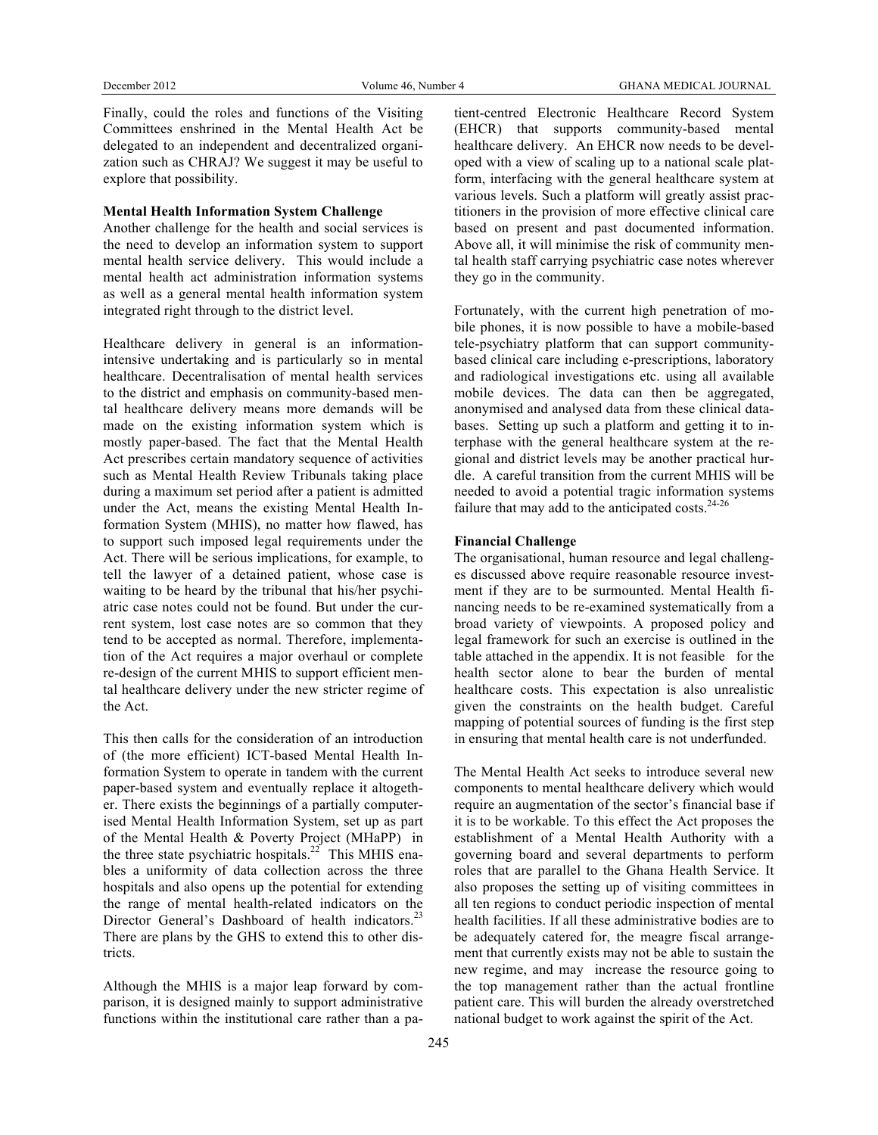Finally, could the roles and functions of the Visiting Committees enshrined in the Mental Health Act be delegated to an independent and decentralized organization such as CHRAJ? We suggest it may be useful to explore that possibility.

#### **Mental Health Information System Challenge**

Another challenge for the health and social services is the need to develop an information system to support mental health service delivery. This would include a mental health act administration information systems as well as a general mental health information system integrated right through to the district level.

Healthcare delivery in general is an informationintensive undertaking and is particularly so in mental healthcare. Decentralisation of mental health services to the district and emphasis on community-based mental healthcare delivery means more demands will be made on the existing information system which is mostly paper-based. The fact that the Mental Health Act prescribes certain mandatory sequence of activities such as Mental Health Review Tribunals taking place during a maximum set period after a patient is admitted under the Act, means the existing Mental Health Information System (MHIS), no matter how flawed, has to support such imposed legal requirements under the Act. There will be serious implications, for example, to tell the lawyer of a detained patient, whose case is waiting to be heard by the tribunal that his/her psychiatric case notes could not be found. But under the current system, lost case notes are so common that they tend to be accepted as normal. Therefore, implementation of the Act requires a major overhaul or complete re-design of the current MHIS to support efficient mental healthcare delivery under the new stricter regime of the Act.

This then calls for the consideration of an introduction of (the more efficient) ICT-based Mental Health Information System to operate in tandem with the current paper-based system and eventually replace it altogether. There exists the beginnings of a partially computerised Mental Health Information System, set up as part of the Mental Health & Poverty Project (MHaPP) in the three state psychiatric hospitals.<sup>22</sup> This MHIS enables a uniformity of data collection across the three hospitals and also opens up the potential for extending the range of mental health-related indicators on the Director General's Dashboard of health indicators.<sup>23</sup> There are plans by the GHS to extend this to other districts.

Although the MHIS is a major leap forward by comparison, it is designed mainly to support administrative functions within the institutional care rather than a patient-centred Electronic Healthcare Record System (EHCR) that supports community-based mental healthcare delivery. An EHCR now needs to be developed with a view of scaling up to a national scale platform, interfacing with the general healthcare system at various levels. Such a platform will greatly assist practitioners in the provision of more effective clinical care based on present and past documented information. Above all, it will minimise the risk of community mental health staff carrying psychiatric case notes wherever they go in the community.

Fortunately, with the current high penetration of mobile phones, it is now possible to have a mobile-based tele-psychiatry platform that can support communitybased clinical care including e-prescriptions, laboratory and radiological investigations etc. using all available mobile devices. The data can then be aggregated, anonymised and analysed data from these clinical databases. Setting up such a platform and getting it to interphase with the general healthcare system at the regional and district levels may be another practical hurdle. A careful transition from the current MHIS will be needed to avoid a potential tragic information systems failure that may add to the anticipated costs. $24-26$ 

#### **Financial Challenge**

The organisational, human resource and legal challenges discussed above require reasonable resource investment if they are to be surmounted. Mental Health financing needs to be re-examined systematically from a broad variety of viewpoints. A proposed policy and legal framework for such an exercise is outlined in the table attached in the appendix. It is not feasible for the health sector alone to bear the burden of mental healthcare costs. This expectation is also unrealistic given the constraints on the health budget. Careful mapping of potential sources of funding is the first step in ensuring that mental health care is not underfunded.

The Mental Health Act seeks to introduce several new components to mental healthcare delivery which would require an augmentation of the sector's financial base if it is to be workable. To this effect the Act proposes the establishment of a Mental Health Authority with a governing board and several departments to perform roles that are parallel to the Ghana Health Service. It also proposes the setting up of visiting committees in all ten regions to conduct periodic inspection of mental health facilities. If all these administrative bodies are to be adequately catered for, the meagre fiscal arrangement that currently exists may not be able to sustain the new regime, and may increase the resource going to the top management rather than the actual frontline patient care. This will burden the already overstretched national budget to work against the spirit of the Act.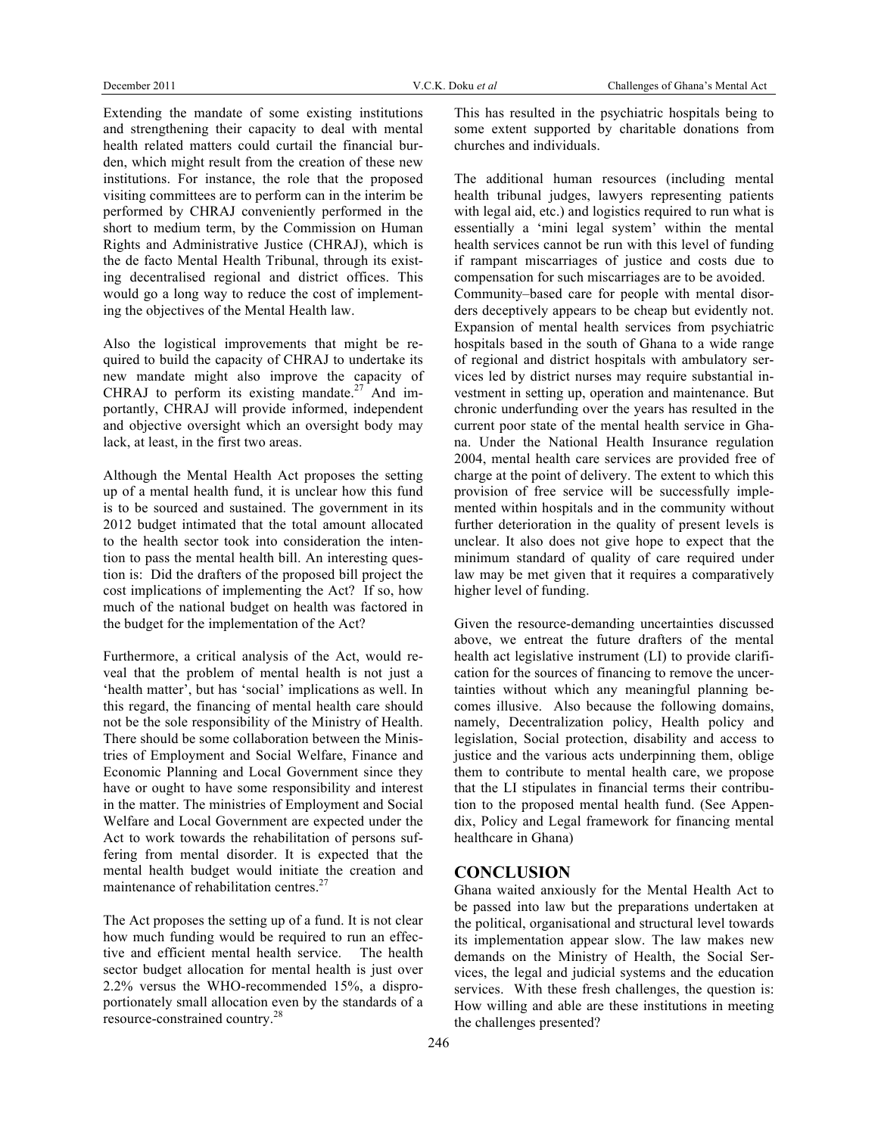Extending the mandate of some existing institutions and strengthening their capacity to deal with mental health related matters could curtail the financial burden, which might result from the creation of these new institutions. For instance, the role that the proposed visiting committees are to perform can in the interim be performed by CHRAJ conveniently performed in the short to medium term, by the Commission on Human Rights and Administrative Justice (CHRAJ), which is the de facto Mental Health Tribunal, through its existing decentralised regional and district offices. This would go a long way to reduce the cost of implementing the objectives of the Mental Health law.

Also the logistical improvements that might be required to build the capacity of CHRAJ to undertake its new mandate might also improve the capacity of CHRAJ to perform its existing mandate.<sup>27</sup> And importantly, CHRAJ will provide informed, independent and objective oversight which an oversight body may lack, at least, in the first two areas.

Although the Mental Health Act proposes the setting up of a mental health fund, it is unclear how this fund is to be sourced and sustained. The government in its 2012 budget intimated that the total amount allocated to the health sector took into consideration the intention to pass the mental health bill. An interesting question is: Did the drafters of the proposed bill project the cost implications of implementing the Act? If so, how much of the national budget on health was factored in the budget for the implementation of the Act?

Furthermore, a critical analysis of the Act, would reveal that the problem of mental health is not just a 'health matter', but has 'social' implications as well. In this regard, the financing of mental health care should not be the sole responsibility of the Ministry of Health. There should be some collaboration between the Ministries of Employment and Social Welfare, Finance and Economic Planning and Local Government since they have or ought to have some responsibility and interest in the matter. The ministries of Employment and Social Welfare and Local Government are expected under the Act to work towards the rehabilitation of persons suffering from mental disorder. It is expected that the mental health budget would initiate the creation and maintenance of rehabilitation centres.<sup>27</sup>

The Act proposes the setting up of a fund. It is not clear how much funding would be required to run an effective and efficient mental health service. The health sector budget allocation for mental health is just over 2.2% versus the WHO-recommended 15%, a disproportionately small allocation even by the standards of a resource-constrained country.<sup>28</sup>

This has resulted in the psychiatric hospitals being to some extent supported by charitable donations from churches and individuals.

The additional human resources (including mental health tribunal judges, lawyers representing patients with legal aid, etc.) and logistics required to run what is essentially a 'mini legal system' within the mental health services cannot be run with this level of funding if rampant miscarriages of justice and costs due to compensation for such miscarriages are to be avoided. Community–based care for people with mental disorders deceptively appears to be cheap but evidently not. Expansion of mental health services from psychiatric hospitals based in the south of Ghana to a wide range of regional and district hospitals with ambulatory services led by district nurses may require substantial investment in setting up, operation and maintenance. But chronic underfunding over the years has resulted in the current poor state of the mental health service in Ghana. Under the National Health Insurance regulation 2004, mental health care services are provided free of charge at the point of delivery. The extent to which this provision of free service will be successfully implemented within hospitals and in the community without further deterioration in the quality of present levels is unclear. It also does not give hope to expect that the minimum standard of quality of care required under law may be met given that it requires a comparatively higher level of funding.

Given the resource-demanding uncertainties discussed above, we entreat the future drafters of the mental health act legislative instrument (LI) to provide clarification for the sources of financing to remove the uncertainties without which any meaningful planning becomes illusive. Also because the following domains, namely, Decentralization policy, Health policy and legislation, Social protection, disability and access to justice and the various acts underpinning them, oblige them to contribute to mental health care, we propose that the LI stipulates in financial terms their contribution to the proposed mental health fund. (See Appendix, Policy and Legal framework for financing mental healthcare in Ghana)

# **CONCLUSION**

Ghana waited anxiously for the Mental Health Act to be passed into law but the preparations undertaken at the political, organisational and structural level towards its implementation appear slow. The law makes new demands on the Ministry of Health, the Social Services, the legal and judicial systems and the education services. With these fresh challenges, the question is: How willing and able are these institutions in meeting the challenges presented?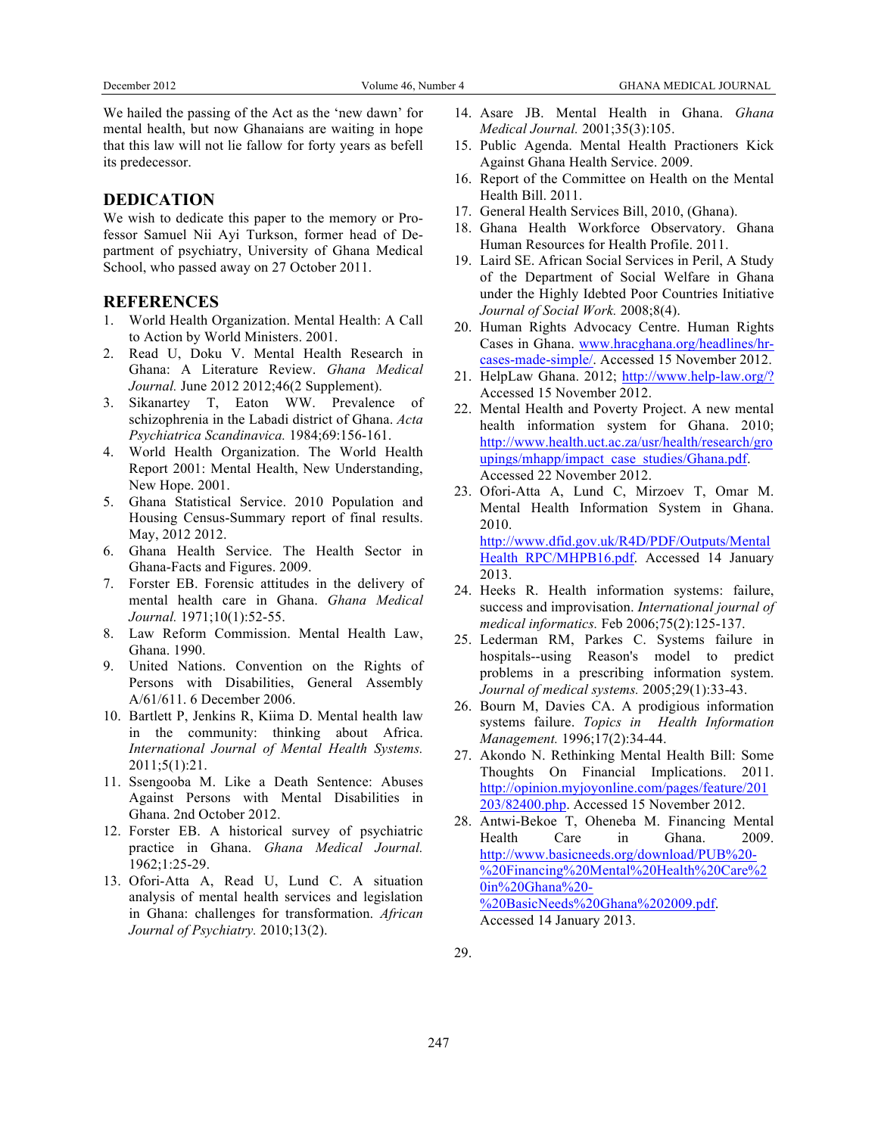We hailed the passing of the Act as the 'new dawn' for mental health, but now Ghanaians are waiting in hope that this law will not lie fallow for forty years as befell its predecessor.

# **DEDICATION**

We wish to dedicate this paper to the memory or Professor Samuel Nii Ayi Turkson, former head of Department of psychiatry, University of Ghana Medical School, who passed away on 27 October 2011.

# **REFERENCES**

- 1. World Health Organization. Mental Health: A Call to Action by World Ministers. 2001.
- 2. Read U, Doku V. Mental Health Research in Ghana: A Literature Review. *Ghana Medical Journal.* June 2012 2012;46(2 Supplement).
- 3. Sikanartey T, Eaton WW. Prevalence of schizophrenia in the Labadi district of Ghana. *Acta Psychiatrica Scandinavica.* 1984;69:156-161.
- 4. World Health Organization. The World Health Report 2001: Mental Health, New Understanding, New Hope. 2001.
- 5. Ghana Statistical Service. 2010 Population and Housing Census-Summary report of final results. May, 2012 2012.
- 6. Ghana Health Service. The Health Sector in Ghana-Facts and Figures. 2009.
- 7. Forster EB. Forensic attitudes in the delivery of mental health care in Ghana. *Ghana Medical Journal.* 1971;10(1):52-55.
- 8. Law Reform Commission. Mental Health Law, Ghana. 1990.
- 9. United Nations. Convention on the Rights of Persons with Disabilities, General Assembly A/61/611. 6 December 2006.
- 10. Bartlett P, Jenkins R, Kiima D. Mental health law in the community: thinking about Africa. *International Journal of Mental Health Systems.*  2011;5(1):21.
- 11. Ssengooba M. Like a Death Sentence: Abuses Against Persons with Mental Disabilities in Ghana. 2nd October 2012.
- 12. Forster EB. A historical survey of psychiatric practice in Ghana. *Ghana Medical Journal.*  1962;1:25-29.
- 13. Ofori-Atta A, Read U, Lund C. A situation analysis of mental health services and legislation in Ghana: challenges for transformation. *African Journal of Psychiatry.* 2010;13(2).
- 14. Asare JB. Mental Health in Ghana. *Ghana Medical Journal.* 2001;35(3):105.
- 15. Public Agenda. Mental Health Practioners Kick Against Ghana Health Service. 2009.
- 16. Report of the Committee on Health on the Mental Health Bill. 2011.
- 17. General Health Services Bill, 2010, (Ghana).
- 18. Ghana Health Workforce Observatory. Ghana Human Resources for Health Profile. 2011.
- 19. Laird SE. African Social Services in Peril, A Study of the Department of Social Welfare in Ghana under the Highly Idebted Poor Countries Initiative *Journal of Social Work.* 2008;8(4).
- 20. Human Rights Advocacy Centre. Human Rights Cases in Ghana. www.hracghana.org/headlines/hrcases-made-simple/. Accessed 15 November 2012.
- 21. HelpLaw Ghana. 2012; http://www.help-law.org/? Accessed 15 November 2012.
- 22. Mental Health and Poverty Project. A new mental health information system for Ghana. 2010; http://www.health.uct.ac.za/usr/health/research/gro upings/mhapp/impact\_case\_studies/Ghana.pdf. Accessed 22 November 2012.
- 23. Ofori-Atta A, Lund C, Mirzoev T, Omar M. Mental Health Information System in Ghana. 2010. http://www.dfid.gov.uk/R4D/PDF/Outputs/Mental Health RPC/MHPB16.pdf. Accessed 14 January 2013.
- 24. Heeks R. Health information systems: failure, success and improvisation. *International journal of medical informatics.* Feb 2006;75(2):125-137.
- 25. Lederman RM, Parkes C. Systems failure in hospitals--using Reason's model to predict problems in a prescribing information system. *Journal of medical systems.* 2005;29(1):33-43.
- 26. Bourn M, Davies CA. A prodigious information systems failure. *Topics in Health Information Management.* 1996;17(2):34-44.
- 27. Akondo N. Rethinking Mental Health Bill: Some Thoughts On Financial Implications. 2011. http://opinion.myjoyonline.com/pages/feature/201 203/82400.php. Accessed 15 November 2012.
- 28. Antwi-Bekoe T, Oheneba M. Financing Mental Health Care in Ghana. 2009. http://www.basicneeds.org/download/PUB%20- %20Financing%20Mental%20Health%20Care%2 0in%20Ghana%20- %20BasicNeeds%20Ghana%202009.pdf. Accessed 14 January 2013.

29.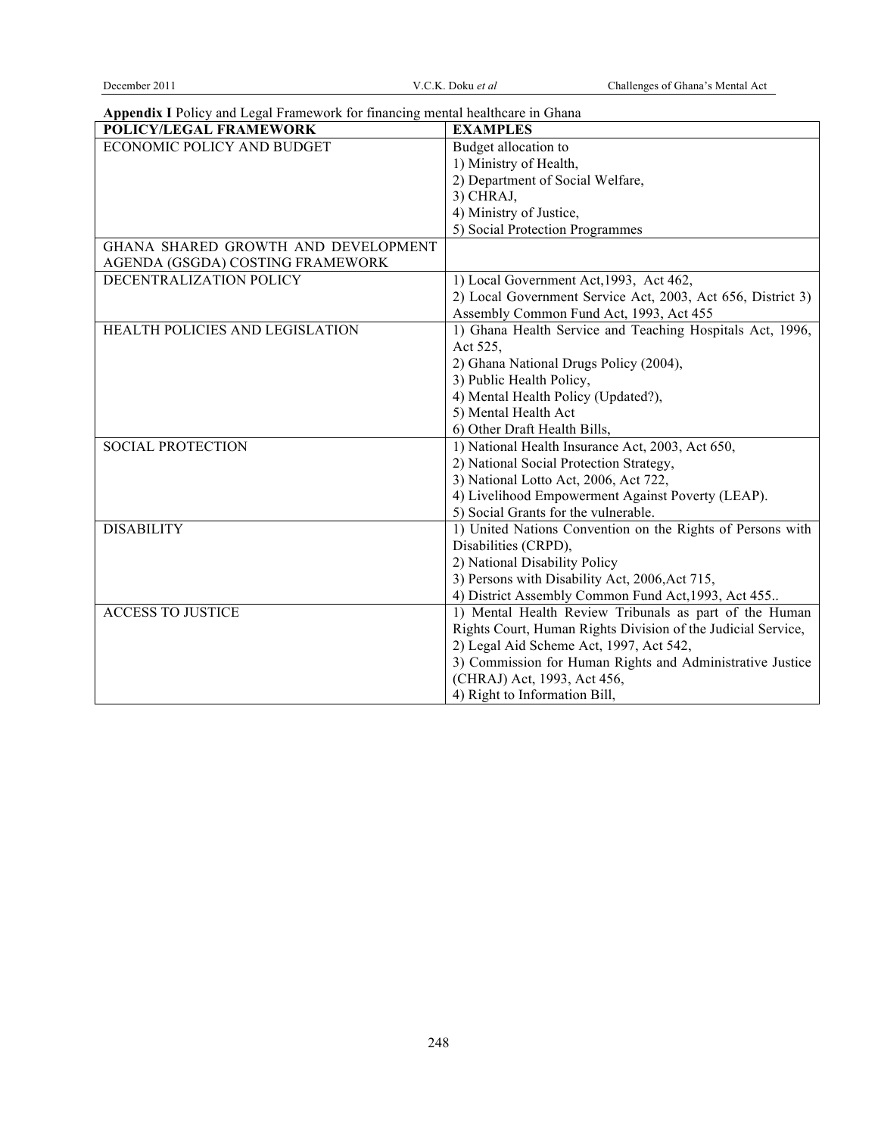**Appendix I** Policy and Legal Framework for financing mental healthcare in Ghana

| Арренціх і гонеў ана ведагі тапісмогу по тіпаненід піснагнеанеті бітана<br>POLICY/LEGAL FRAMEWORK | <b>EXAMPLES</b>                                                                           |
|---------------------------------------------------------------------------------------------------|-------------------------------------------------------------------------------------------|
| ECONOMIC POLICY AND BUDGET                                                                        | Budget allocation to                                                                      |
|                                                                                                   | 1) Ministry of Health,                                                                    |
|                                                                                                   | 2) Department of Social Welfare,                                                          |
|                                                                                                   | 3) CHRAJ,                                                                                 |
|                                                                                                   | 4) Ministry of Justice,                                                                   |
|                                                                                                   | 5) Social Protection Programmes                                                           |
| GHANA SHARED GROWTH AND DEVELOPMENT                                                               |                                                                                           |
| AGENDA (GSGDA) COSTING FRAMEWORK                                                                  |                                                                                           |
| DECENTRALIZATION POLICY                                                                           | 1) Local Government Act, 1993, Act 462,                                                   |
|                                                                                                   | 2) Local Government Service Act, 2003, Act 656, District 3)                               |
|                                                                                                   | Assembly Common Fund Act, 1993, Act 455                                                   |
| HEALTH POLICIES AND LEGISLATION                                                                   | 1) Ghana Health Service and Teaching Hospitals Act, 1996,                                 |
|                                                                                                   | Act 525,                                                                                  |
|                                                                                                   | 2) Ghana National Drugs Policy (2004),                                                    |
|                                                                                                   | 3) Public Health Policy,                                                                  |
|                                                                                                   | 4) Mental Health Policy (Updated?),                                                       |
|                                                                                                   | 5) Mental Health Act                                                                      |
|                                                                                                   | 6) Other Draft Health Bills,                                                              |
| <b>SOCIAL PROTECTION</b>                                                                          | 1) National Health Insurance Act, 2003, Act 650,                                          |
|                                                                                                   | 2) National Social Protection Strategy,                                                   |
|                                                                                                   | 3) National Lotto Act, 2006, Act 722,                                                     |
|                                                                                                   | 4) Livelihood Empowerment Against Poverty (LEAP).<br>5) Social Grants for the vulnerable. |
| <b>DISABILITY</b>                                                                                 |                                                                                           |
|                                                                                                   | 1) United Nations Convention on the Rights of Persons with                                |
|                                                                                                   | Disabilities (CRPD),<br>2) National Disability Policy                                     |
|                                                                                                   | 3) Persons with Disability Act, 2006, Act 715,                                            |
|                                                                                                   | 4) District Assembly Common Fund Act, 1993, Act 455                                       |
| <b>ACCESS TO JUSTICE</b>                                                                          | 1) Mental Health Review Tribunals as part of the Human                                    |
|                                                                                                   | Rights Court, Human Rights Division of the Judicial Service,                              |
|                                                                                                   | 2) Legal Aid Scheme Act, 1997, Act 542,                                                   |
|                                                                                                   | 3) Commission for Human Rights and Administrative Justice                                 |
|                                                                                                   | (CHRAJ) Act, 1993, Act 456,                                                               |
|                                                                                                   | 4) Right to Information Bill,                                                             |
|                                                                                                   |                                                                                           |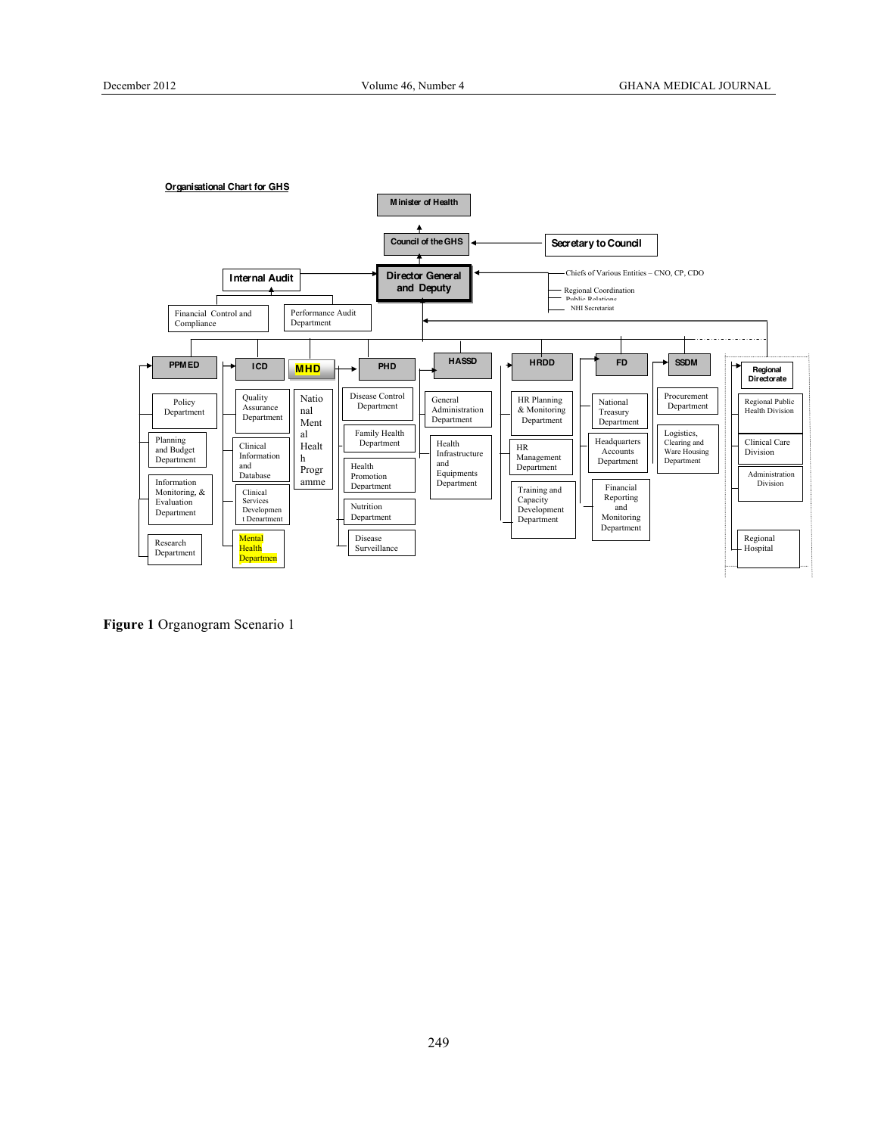

**Figure 1** Organogram Scenario 1